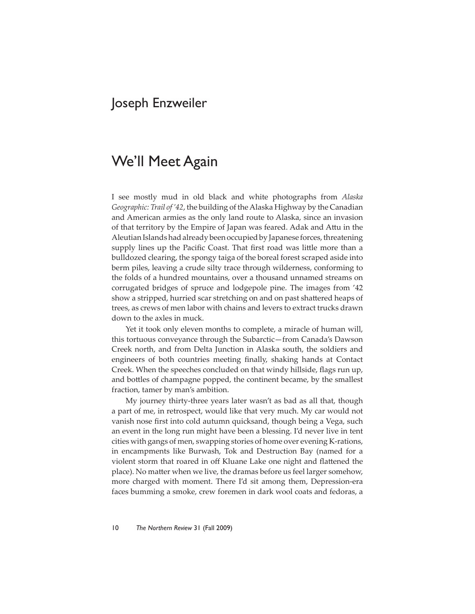## Joseph Enzweiler

## We'll Meet Again

I see mostly mud in old black and white photographs from *Alaska Geographic: Trail of '42*, the building of the Alaska Highway by the Canadian and American armies as the only land route to Alaska, since an invasion of that territory by the Empire of Japan was feared. Adak and Attu in the Aleutian Islands had already been occupied by Japanese forces, threatening supply lines up the Pacific Coast. That first road was little more than a bulldozed clearing, the spongy taiga of the boreal forest scraped aside into berm piles, leaving a crude silty trace through wilderness, conforming to the folds of a hundred mountains, over a thousand unnamed streams on corrugated bridges of spruce and lodgepole pine. The images from '42 show a stripped, hurried scar stretching on and on past shattered heaps of trees, as crews of men labor with chains and levers to extract trucks drawn down to the axles in muck.

Yet it took only eleven months to complete, a miracle of human will, this tortuous conveyance through the Subarctic—from Canada's Dawson Creek north, and from Delta Junction in Alaska south, the soldiers and engineers of both countries meeting finally, shaking hands at Contact Creek. When the speeches concluded on that windy hillside, flags run up, and bottles of champagne popped, the continent became, by the smallest fraction, tamer by man's ambition.

My journey thirty-three years later wasn't as bad as all that, though a part of me, in retrospect, would like that very much. My car would not vanish nose first into cold autumn quicksand, though being a Vega, such an event in the long run might have been a blessing. I'd never live in tent cities with gangs of men, swapping stories of home over evening K-rations, in encampments like Burwash, Tok and Destruction Bay (named for a violent storm that roared in off Kluane Lake one night and flattened the place). No matter when we live, the dramas before us feel larger somehow, more charged with moment. There I'd sit among them, Depression-era faces bumming a smoke, crew foremen in dark wool coats and fedoras, a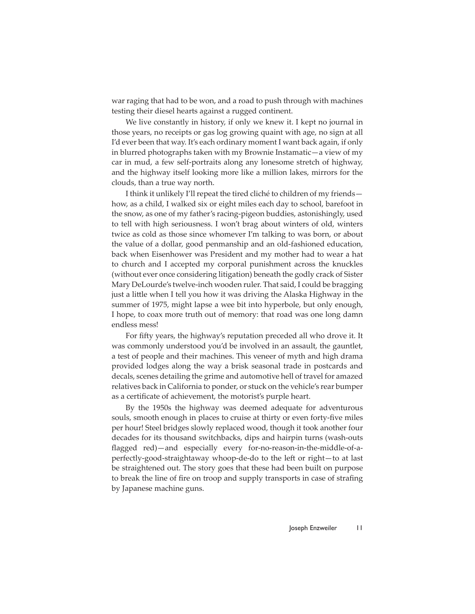war raging that had to be won, and a road to push through with machines testing their diesel hearts against a rugged continent.

We live constantly in history, if only we knew it. I kept no journal in those years, no receipts or gas log growing quaint with age, no sign at all I'd ever been that way. It's each ordinary moment I want back again, if only in blurred photographs taken with my Brownie Instamatic—a view of my car in mud, a few self-portraits along any lonesome stretch of highway, and the highway itself looking more like a million lakes, mirrors for the clouds, than a true way north.

I think it unlikely I'll repeat the tired cliché to children of my friends how, as a child, I walked six or eight miles each day to school, barefoot in the snow, as one of my father's racing-pigeon buddies, astonishingly, used to tell with high seriousness. I won't brag about winters of old, winters twice as cold as those since whomever I'm talking to was born, or about the value of a dollar, good penmanship and an old-fashioned education, back when Eisenhower was President and my mother had to wear a hat to church and I accepted my corporal punishment across the knuckles (without ever once considering litigation) beneath the godly crack of Sister Mary DeLourde's twelve-inch wooden ruler. That said, I could be bragging just a little when I tell you how it was driving the Alaska Highway in the summer of 1975, might lapse a wee bit into hyperbole, but only enough, I hope, to coax more truth out of memory: that road was one long damn endless mess!

For fifty years, the highway's reputation preceded all who drove it. It was commonly understood you'd be involved in an assault, the gauntlet, a test of people and their machines. This veneer of myth and high drama provided lodges along the way a brisk seasonal trade in postcards and decals, scenes detailing the grime and automotive hell of travel for amazed relatives back in California to ponder, or stuck on the vehicle's rear bumper as a certificate of achievement, the motorist's purple heart.

By the 1950s the highway was deemed adequate for adventurous souls, smooth enough in places to cruise at thirty or even forty-five miles per hour! Steel bridges slowly replaced wood, though it took another four decades for its thousand switchbacks, dips and hairpin turns (wash-outs flagged red)—and especially every for-no-reason-in-the-middle-of-aperfectly-good-straightaway whoop-de-do to the left or right—to at last be straightened out. The story goes that these had been built on purpose to break the line of fire on troop and supply transports in case of strafing by Japanese machine guns.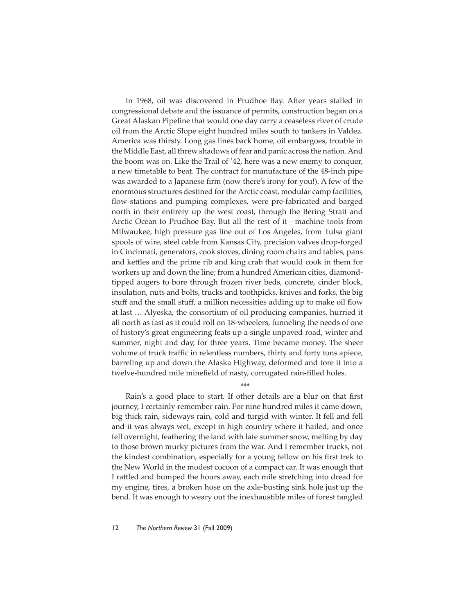In 1968, oil was discovered in Prudhoe Bay. After years stalled in congressional debate and the issuance of permits, construction began on a Great Alaskan Pipeline that would one day carry a ceaseless river of crude oil from the Arctic Slope eight hundred miles south to tankers in Valdez. America was thirsty. Long gas lines back home, oil embargoes, trouble in the Middle East, all threw shadows of fear and panic across the nation. And the boom was on. Like the Trail of '42, here was a new enemy to conquer, a new timetable to beat. The contract for manufacture of the 48-inch pipe was awarded to a Japanese firm (now there's irony for you!). A few of the enormous structures destined for the Arctic coast, modular camp facilities, flow stations and pumping complexes, were pre-fabricated and barged north in their entirety up the west coast, through the Bering Strait and Arctic Ocean to Prudhoe Bay. But all the rest of it—machine tools from Milwaukee, high pressure gas line out of Los Angeles, from Tulsa giant spools of wire, steel cable from Kansas City, precision valves drop-forged in Cincinnati, generators, cook stoves, dining room chairs and tables, pans and kettles and the prime rib and king crab that would cook in them for workers up and down the line; from a hundred American cities, diamondtipped augers to bore through frozen river beds, concrete, cinder block, insulation, nuts and bolts, trucks and toothpicks, knives and forks, the big stuff and the small stuff, a million necessities adding up to make oil flow at last … Alyeska, the consortium of oil producing companies, hurried it all north as fast as it could roll on 18-wheelers, funneling the needs of one of history's great engineering feats up a single unpaved road, winter and summer, night and day, for three years. Time became money. The sheer volume of truck traffic in relentless numbers, thirty and forty tons apiece, barreling up and down the Alaska Highway, deformed and tore it into a twelve-hundred mile minefield of nasty, corrugated rain-filled holes.

\*\*\*

Rain's a good place to start. If other details are a blur on that first journey, I certainly remember rain. For nine hundred miles it came down, big thick rain, sideways rain, cold and turgid with winter. It fell and fell and it was always wet, except in high country where it hailed, and once fell overnight, feathering the land with late summer snow, melting by day to those brown murky pictures from the war. And I remember trucks, not the kindest combination, especially for a young fellow on his first trek to the New World in the modest cocoon of a compact car. It was enough that I rattled and bumped the hours away, each mile stretching into dread for my engine, tires, a broken hose on the axle-busting sink hole just up the bend. It was enough to weary out the inexhaustible miles of forest tangled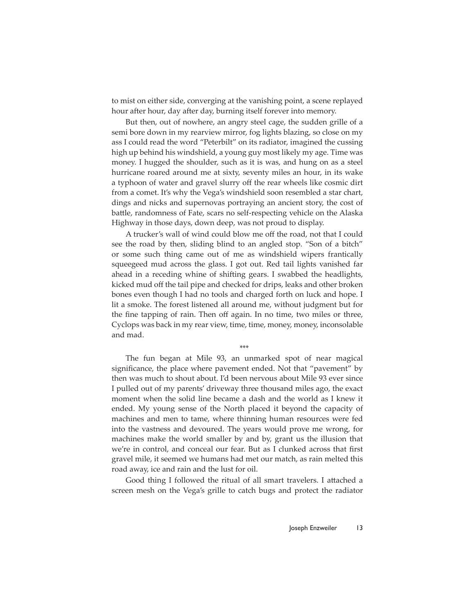to mist on either side, converging at the vanishing point, a scene replayed hour after hour, day after day, burning itself forever into memory.

But then, out of nowhere, an angry steel cage, the sudden grille of a semi bore down in my rearview mirror, fog lights blazing, so close on my ass I could read the word "Peterbilt" on its radiator, imagined the cussing high up behind his windshield, a young guy most likely my age. Time was money. I hugged the shoulder, such as it is was, and hung on as a steel hurricane roared around me at sixty, seventy miles an hour, in its wake a typhoon of water and gravel slurry off the rear wheels like cosmic dirt from a comet. It's why the Vega's windshield soon resembled a star chart, dings and nicks and supernovas portraying an ancient story, the cost of battle, randomness of Fate, scars no self-respecting vehicle on the Alaska Highway in those days, down deep, was not proud to display.

A trucker's wall of wind could blow me off the road, not that I could see the road by then, sliding blind to an angled stop. "Son of a bitch" or some such thing came out of me as windshield wipers frantically squeegeed mud across the glass. I got out. Red tail lights vanished far ahead in a receding whine of shifting gears. I swabbed the headlights, kicked mud off the tail pipe and checked for drips, leaks and other broken bones even though I had no tools and charged forth on luck and hope. I lit a smoke. The forest listened all around me, without judgment but for the fine tapping of rain. Then off again. In no time, two miles or three, Cyclops was back in my rear view, time, time, money, money, inconsolable and mad.

\*\*\*

The fun began at Mile 93, an unmarked spot of near magical significance, the place where pavement ended. Not that "pavement" by then was much to shout about. I'd been nervous about Mile 93 ever since I pulled out of my parents' driveway three thousand miles ago, the exact moment when the solid line became a dash and the world as I knew it ended. My young sense of the North placed it beyond the capacity of machines and men to tame, where thinning human resources were fed into the vastness and devoured. The years would prove me wrong, for machines make the world smaller by and by, grant us the illusion that we're in control, and conceal our fear. But as I clunked across that first gravel mile, it seemed we humans had met our match, as rain melted this road away, ice and rain and the lust for oil.

Good thing I followed the ritual of all smart travelers. I attached a screen mesh on the Vega's grille to catch bugs and protect the radiator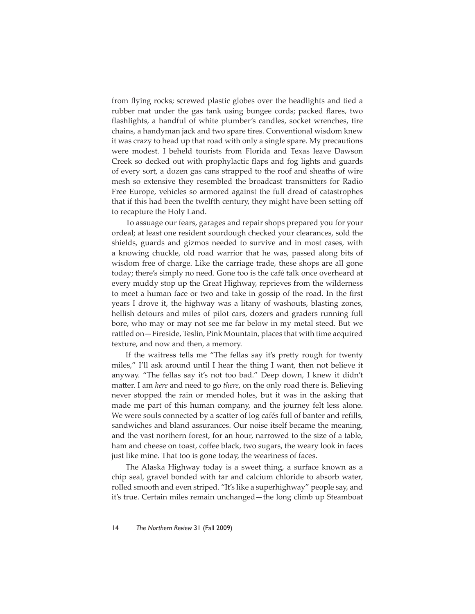from flying rocks; screwed plastic globes over the headlights and tied a rubber mat under the gas tank using bungee cords; packed flares, two flashlights, a handful of white plumber's candles, socket wrenches, tire chains, a handyman jack and two spare tires. Conventional wisdom knew it was crazy to head up that road with only a single spare. My precautions were modest. I beheld tourists from Florida and Texas leave Dawson Creek so decked out with prophylactic flaps and fog lights and guards of every sort, a dozen gas cans strapped to the roof and sheaths of wire mesh so extensive they resembled the broadcast transmitters for Radio Free Europe, vehicles so armored against the full dread of catastrophes that if this had been the twelfth century, they might have been setting off to recapture the Holy Land.

To assuage our fears, garages and repair shops prepared you for your ordeal; at least one resident sourdough checked your clearances, sold the shields, guards and gizmos needed to survive and in most cases, with a knowing chuckle, old road warrior that he was, passed along bits of wisdom free of charge. Like the carriage trade, these shops are all gone today; there's simply no need. Gone too is the café talk once overheard at every muddy stop up the Great Highway, reprieves from the wilderness to meet a human face or two and take in gossip of the road. In the first years I drove it, the highway was a litany of washouts, blasting zones, hellish detours and miles of pilot cars, dozers and graders running full bore, who may or may not see me far below in my metal steed. But we rattled on—Fireside, Teslin, Pink Mountain, places that with time acquired texture, and now and then, a memory.

If the waitress tells me "The fellas say it's pretty rough for twenty miles," I'll ask around until I hear the thing I want, then not believe it anyway. "The fellas say it's not too bad." Deep down, I knew it didn't matter. I am *here* and need to go *there*, on the only road there is. Believing never stopped the rain or mended holes, but it was in the asking that made me part of this human company, and the journey felt less alone. We were souls connected by a scatter of log cafés full of banter and refills, sandwiches and bland assurances. Our noise itself became the meaning, and the vast northern forest, for an hour, narrowed to the size of a table, ham and cheese on toast, coffee black, two sugars, the weary look in faces just like mine. That too is gone today, the weariness of faces.

The Alaska Highway today is a sweet thing, a surface known as a chip seal, gravel bonded with tar and calcium chloride to absorb water, rolled smooth and even striped. "It's like a superhighway" people say, and it's true. Certain miles remain unchanged—the long climb up Steamboat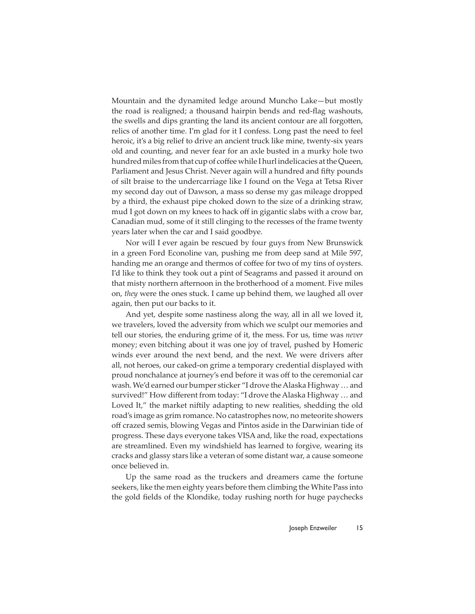Mountain and the dynamited ledge around Muncho Lake—but mostly the road is realigned; a thousand hairpin bends and red-flag washouts, the swells and dips granting the land its ancient contour are all forgotten, relics of another time. I'm glad for it I confess. Long past the need to feel heroic, it's a big relief to drive an ancient truck like mine, twenty-six years old and counting, and never fear for an axle busted in a murky hole two hundred miles from that cup of coffee while I hurl indelicacies at the Queen, Parliament and Jesus Christ. Never again will a hundred and fifty pounds of silt braise to the undercarriage like I found on the Vega at Tetsa River my second day out of Dawson, a mass so dense my gas mileage dropped by a third, the exhaust pipe choked down to the size of a drinking straw, mud I got down on my knees to hack off in gigantic slabs with a crow bar, Canadian mud, some of it still clinging to the recesses of the frame twenty years later when the car and I said goodbye.

Nor will I ever again be rescued by four guys from New Brunswick in a green Ford Econoline van, pushing me from deep sand at Mile 597, handing me an orange and thermos of coffee for two of my tins of oysters. I'd like to think they took out a pint of Seagrams and passed it around on that misty northern afternoon in the brotherhood of a moment. Five miles on, *they* were the ones stuck. I came up behind them, we laughed all over again, then put our backs to it.

And yet, despite some nastiness along the way, all in all we loved it, we travelers, loved the adversity from which we sculpt our memories and tell our stories, the enduring grime of it, the mess. For us, time was *never*  money; even bitching about it was one joy of travel, pushed by Homeric winds ever around the next bend, and the next. We were drivers after all, not heroes, our caked-on grime a temporary credential displayed with proud nonchalance at journey's end before it was off to the ceremonial car wash. We'd earned our bumper sticker "I drove the Alaska Highway … and survived!" How different from today: "I drove the Alaska Highway ... and Loved It," the market niftily adapting to new realities, shedding the old road's image as grim romance. No catastrophes now, no meteorite showers off crazed semis, blowing Vegas and Pintos aside in the Darwinian tide of progress. These days everyone takes VISA and, like the road, expectations are streamlined. Even my windshield has learned to forgive, wearing its cracks and glassy stars like a veteran of some distant war, a cause someone once believed in.

Up the same road as the truckers and dreamers came the fortune seekers, like the men eighty years before them climbing the White Pass into the gold fields of the Klondike, today rushing north for huge paychecks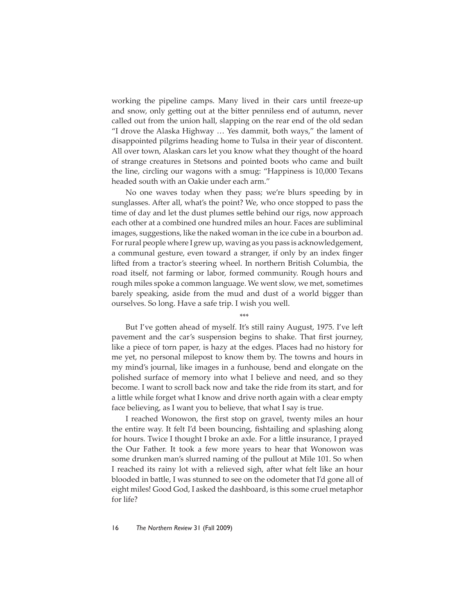working the pipeline camps. Many lived in their cars until freeze-up and snow, only getting out at the bitter penniless end of autumn, never called out from the union hall, slapping on the rear end of the old sedan "I drove the Alaska Highway … Yes dammit, both ways," the lament of disappointed pilgrims heading home to Tulsa in their year of discontent. All over town, Alaskan cars let you know what they thought of the hoard of strange creatures in Stetsons and pointed boots who came and built the line, circling our wagons with a smug: "Happiness is 10,000 Texans headed south with an Oakie under each arm."

No one waves today when they pass; we're blurs speeding by in sunglasses. After all, what's the point? We, who once stopped to pass the time of day and let the dust plumes settle behind our rigs, now approach each other at a combined one hundred miles an hour. Faces are subliminal images, suggestions, like the naked woman in the ice cube in a bourbon ad. For rural people where I grew up, waving as you pass is acknowledgement, a communal gesture, even toward a stranger, if only by an index finger lifted from a tractor's steering wheel. In northern British Columbia, the road itself, not farming or labor, formed community. Rough hours and rough miles spoke a common language. We went slow, we met, sometimes barely speaking, aside from the mud and dust of a world bigger than ourselves. So long. Have a safe trip. I wish you well.

\*\*\*

But I've gotten ahead of myself. It's still rainy August, 1975. I've left pavement and the car's suspension begins to shake. That first journey, like a piece of torn paper, is hazy at the edges. Places had no history for me yet, no personal milepost to know them by. The towns and hours in my mind's journal, like images in a funhouse, bend and elongate on the polished surface of memory into what I believe and need, and so they become. I want to scroll back now and take the ride from its start, and for a little while forget what I know and drive north again with a clear empty face believing, as I want you to believe, that what I say is true.

I reached Wonowon, the first stop on gravel, twenty miles an hour the entire way. It felt I'd been bouncing, fishtailing and splashing along for hours. Twice I thought I broke an axle. For a little insurance, I prayed the Our Father. It took a few more years to hear that Wonowon was some drunken man's slurred naming of the pullout at Mile 101. So when I reached its rainy lot with a relieved sigh, after what felt like an hour blooded in battle, I was stunned to see on the odometer that I'd gone all of eight miles! Good God, I asked the dashboard, is this some cruel metaphor for life?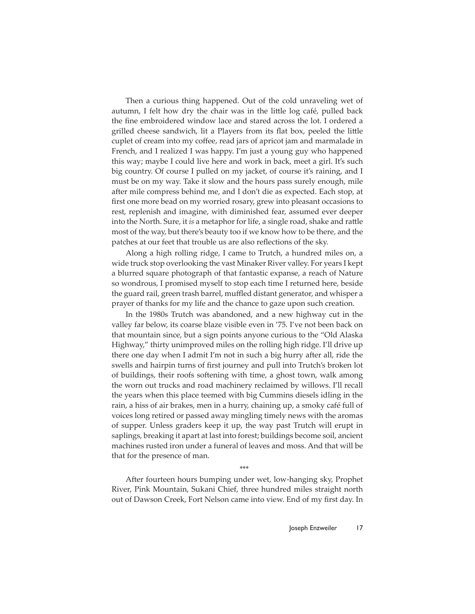Then a curious thing happened. Out of the cold unraveling wet of autumn, I felt how dry the chair was in the little log café, pulled back the fine embroidered window lace and stared across the lot. I ordered a grilled cheese sandwich, lit a Players from its flat box, peeled the little cuplet of cream into my coffee, read jars of apricot jam and marmalade in French, and I realized I was happy. I'm just a young guy who happened this way; maybe I could live here and work in back, meet a girl. It's such big country. Of course I pulled on my jacket, of course it's raining, and I must be on my way. Take it slow and the hours pass surely enough, mile after mile compress behind me, and I don't die as expected. Each stop, at first one more bead on my worried rosary, grew into pleasant occasions to rest, replenish and imagine, with diminished fear, assumed ever deeper into the North. Sure, it *is* a metaphor for life, a single road, shake and rattle most of the way, but there's beauty too if we know how to be there, and the patches at our feet that trouble us are also reflections of the sky.

Along a high rolling ridge, I came to Trutch, a hundred miles on, a wide truck stop overlooking the vast Minaker River valley. For years I kept a blurred square photograph of that fantastic expanse, a reach of Nature so wondrous, I promised myself to stop each time I returned here, beside the guard rail, green trash barrel, muffled distant generator, and whisper a prayer of thanks for my life and the chance to gaze upon such creation.

In the 1980s Trutch was abandoned, and a new highway cut in the valley far below, its coarse blaze visible even in '75. I've not been back on that mountain since, but a sign points anyone curious to the "Old Alaska Highway," thirty unimproved miles on the rolling high ridge. I'll drive up there one day when I admit I'm not in such a big hurry after all, ride the swells and hairpin turns of first journey and pull into Trutch's broken lot of buildings, their roofs softening with time, a ghost town, walk among the worn out trucks and road machinery reclaimed by willows. I'll recall the years when this place teemed with big Cummins diesels idling in the rain, a hiss of air brakes, men in a hurry, chaining up, a smoky café full of voices long retired or passed away mingling timely news with the aromas of supper. Unless graders keep it up, the way past Trutch will erupt in saplings, breaking it apart at last into forest; buildings become soil, ancient machines rusted iron under a funeral of leaves and moss. And that will be that for the presence of man.

\*\*\*

After fourteen hours bumping under wet, low-hanging sky, Prophet River, Pink Mountain, Sukani Chief, three hundred miles straight north out of Dawson Creek, Fort Nelson came into view. End of my first day. In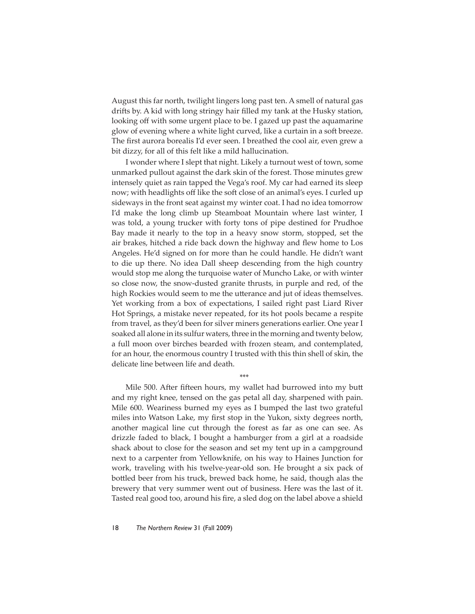August this far north, twilight lingers long past ten. A smell of natural gas drifts by. A kid with long stringy hair filled my tank at the Husky station, looking off with some urgent place to be. I gazed up past the aquamarine glow of evening where a white light curved, like a curtain in a soft breeze. The first aurora borealis I'd ever seen. I breathed the cool air, even grew a bit dizzy, for all of this felt like a mild hallucination.

I wonder where I slept that night. Likely a turnout west of town, some unmarked pullout against the dark skin of the forest. Those minutes grew intensely quiet as rain tapped the Vega's roof. My car had earned its sleep now; with headlights off like the soft close of an animal's eyes. I curled up sideways in the front seat against my winter coat. I had no idea tomorrow I'd make the long climb up Steamboat Mountain where last winter, I was told, a young trucker with forty tons of pipe destined for Prudhoe Bay made it nearly to the top in a heavy snow storm, stopped, set the air brakes, hitched a ride back down the highway and flew home to Los Angeles. He'd signed on for more than he could handle. He didn't want to die up there. No idea Dall sheep descending from the high country would stop me along the turquoise water of Muncho Lake, or with winter so close now, the snow-dusted granite thrusts, in purple and red, of the high Rockies would seem to me the utterance and jut of ideas themselves. Yet working from a box of expectations, I sailed right past Liard River Hot Springs, a mistake never repeated, for its hot pools became a respite from travel, as they'd been for silver miners generations earlier. One year I soaked all alone in its sulfur waters, three in the morning and twenty below, a full moon over birches bearded with frozen steam, and contemplated, for an hour, the enormous country I trusted with this thin shell of skin, the delicate line between life and death.

Mile 500. After fifteen hours, my wallet had burrowed into my butt and my right knee, tensed on the gas petal all day, sharpened with pain. Mile 600. Weariness burned my eyes as I bumped the last two grateful miles into Watson Lake, my first stop in the Yukon, sixty degrees north, another magical line cut through the forest as far as one can see. As drizzle faded to black, I bought a hamburger from a girl at a roadside shack about to close for the season and set my tent up in a campground next to a carpenter from Yellowknife, on his way to Haines Junction for work, traveling with his twelve-year-old son. He brought a six pack of bott led beer from his truck, brewed back home, he said, though alas the brewery that very summer went out of business. Here was the last of it. Tasted real good too, around his fire, a sled dog on the label above a shield

\*\*\*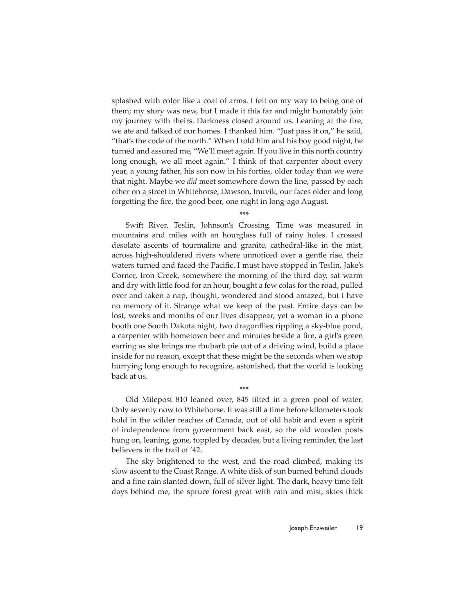splashed with color like a coat of arms. I felt on my way to being one of them; my story was new, but I made it this far and might honorably join my journey with theirs. Darkness closed around us. Leaning at the fire, we ate and talked of our homes. I thanked him. "Just pass it on," he said, "that's the code of the north." When I told him and his boy good night, he turned and assured me, "We'll meet again. If you live in this north country long enough, we all meet again." I think of that carpenter about every year, a young father, his son now in his forties, older today than we were that night. Maybe we *did* meet somewhere down the line, passed by each other on a street in Whitehorse, Dawson, Inuvik, our faces older and long forgetting the fire, the good beer, one night in long-ago August.

\*\*\*

Swift River, Teslin, Johnson's Crossing. Time was measured in mountains and miles with an hourglass full of rainy holes. I crossed desolate ascents of tourmaline and granite, cathedral-like in the mist, across high-shouldered rivers where unnoticed over a gentle rise, their waters turned and faced the Pacific. I must have stopped in Teslin, Jake's Corner, Iron Creek, somewhere the morning of the third day, sat warm and dry with little food for an hour, bought a few colas for the road, pulled over and taken a nap, thought, wondered and stood amazed, but I have no memory of it. Strange what we keep of the past. Entire days can be lost, weeks and months of our lives disappear, yet a woman in a phone booth one South Dakota night, two dragonflies rippling a sky-blue pond, a carpenter with hometown beer and minutes beside a fire, a girl's green earring as she brings me rhubarb pie out of a driving wind, build a place inside for no reason, except that these might be the seconds when we stop hurrying long enough to recognize, astonished, that the world is looking back at us.

Old Milepost 810 leaned over, 845 tilted in a green pool of water. Only seventy now to Whitehorse. It was still a time before kilometers took hold in the wilder reaches of Canada, out of old habit and even a spirit of independence from government back east, so the old wooden posts hung on, leaning, gone, toppled by decades, but a living reminder, the last believers in the trail of '42.

\*\*\*

The sky brightened to the west, and the road climbed, making its slow ascent to the Coast Range. A white disk of sun burned behind clouds and a fine rain slanted down, full of silver light. The dark, heavy time felt days behind me, the spruce forest great with rain and mist, skies thick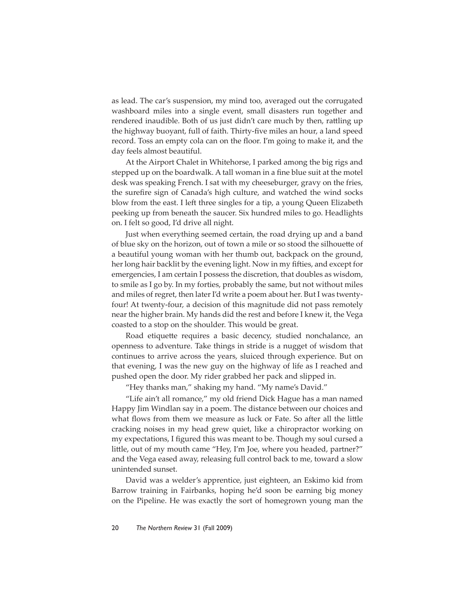as lead. The car's suspension, my mind too, averaged out the corrugated washboard miles into a single event, small disasters run together and rendered inaudible. Both of us just didn't care much by then, rattling up the highway buoyant, full of faith. Thirty-five miles an hour, a land speed record. Toss an empty cola can on the floor. I'm going to make it, and the day feels almost beautiful.

At the Airport Chalet in Whitehorse, I parked among the big rigs and stepped up on the boardwalk. A tall woman in a fine blue suit at the motel desk was speaking French. I sat with my cheeseburger, gravy on the fries, the surefire sign of Canada's high culture, and watched the wind socks blow from the east. I left three singles for a tip, a young Queen Elizabeth peeking up from beneath the saucer. Six hundred miles to go. Headlights on. I felt so good, I'd drive all night.

Just when everything seemed certain, the road drying up and a band of blue sky on the horizon, out of town a mile or so stood the silhouette of a beautiful young woman with her thumb out, backpack on the ground, her long hair backlit by the evening light. Now in my fifties, and except for emergencies, I am certain I possess the discretion, that doubles as wisdom, to smile as I go by. In my forties, probably the same, but not without miles and miles of regret, then later I'd write a poem about her. But I was twentyfour! At twenty-four, a decision of this magnitude did not pass remotely near the higher brain. My hands did the rest and before I knew it, the Vega coasted to a stop on the shoulder. This would be great.

Road etiquette requires a basic decency, studied nonchalance, an openness to adventure. Take things in stride is a nugget of wisdom that continues to arrive across the years, sluiced through experience. But on that evening, I was the new guy on the highway of life as I reached and pushed open the door. My rider grabbed her pack and slipped in.

"Hey thanks man," shaking my hand. "My name's David."

"Life ain't all romance," my old friend Dick Hague has a man named Happy Jim Windlan say in a poem. The distance between our choices and what flows from them we measure as luck or Fate. So after all the little cracking noises in my head grew quiet, like a chiropractor working on my expectations, I figured this was meant to be. Though my soul cursed a little, out of my mouth came "Hey, I'm Joe, where you headed, partner?" and the Vega eased away, releasing full control back to me, toward a slow unintended sunset.

David was a welder's apprentice, just eighteen, an Eskimo kid from Barrow training in Fairbanks, hoping he'd soon be earning big money on the Pipeline. He was exactly the sort of homegrown young man the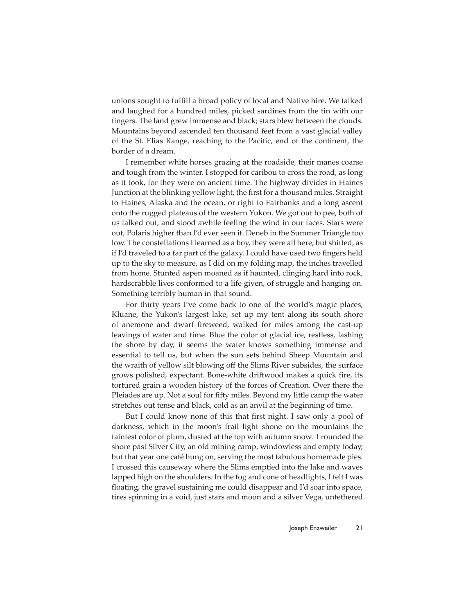unions sought to fulfill a broad policy of local and Native hire. We talked and laughed for a hundred miles, picked sardines from the tin with our fingers. The land grew immense and black; stars blew between the clouds. Mountains beyond ascended ten thousand feet from a vast glacial valley of the St. Elias Range, reaching to the Pacific, end of the continent, the border of a dream.

I remember white horses grazing at the roadside, their manes coarse and tough from the winter. I stopped for caribou to cross the road, as long as it took, for they were on ancient time. The highway divides in Haines Junction at the blinking yellow light, the first for a thousand miles. Straight to Haines, Alaska and the ocean, or right to Fairbanks and a long ascent onto the rugged plateaus of the western Yukon. We got out to pee, both of us talked out, and stood awhile feeling the wind in our faces. Stars were out, Polaris higher than I'd ever seen it. Deneb in the Summer Triangle too low. The constellations I learned as a boy, they were all here, but shifted, as if I'd traveled to a far part of the galaxy. I could have used two fingers held up to the sky to measure, as I did on my folding map, the inches travelled from home. Stunted aspen moaned as if haunted, clinging hard into rock, hardscrabble lives conformed to a life given, of struggle and hanging on. Something terribly human in that sound.

For thirty years I've come back to one of the world's magic places, Kluane, the Yukon's largest lake, set up my tent along its south shore of anemone and dwarf fireweed, walked for miles among the cast-up leavings of water and time. Blue the color of glacial ice, restless, lashing the shore by day, it seems the water knows something immense and essential to tell us, but when the sun sets behind Sheep Mountain and the wraith of yellow silt blowing off the Slims River subsides, the surface grows polished, expectant. Bone-white drift wood makes a quick fire, its tortured grain a wooden history of the forces of Creation. Over there the Pleiades are up. Not a soul for fifty miles. Beyond my little camp the water stretches out tense and black, cold as an anvil at the beginning of time.

But I could know none of this that first night. I saw only a pool of darkness, which in the moon's frail light shone on the mountains the faintest color of plum, dusted at the top with autumn snow. I rounded the shore past Silver City, an old mining camp, windowless and empty today, but that year one café hung on, serving the most fabulous homemade pies. I crossed this causeway where the Slims emptied into the lake and waves lapped high on the shoulders. In the fog and cone of headlights, I felt I was floating, the gravel sustaining me could disappear and I'd soar into space, tires spinning in a void, just stars and moon and a silver Vega, untethered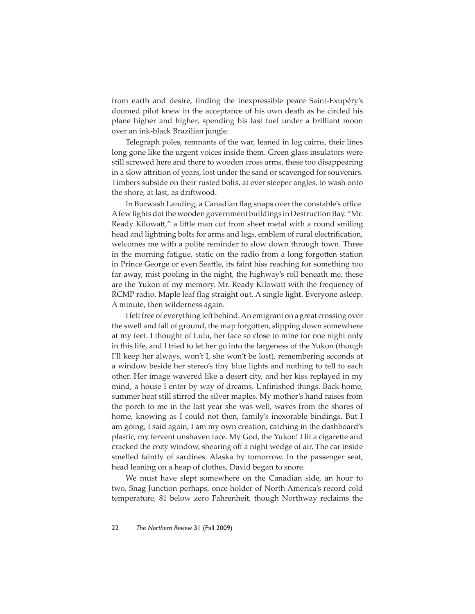from earth and desire, finding the inexpressible peace Saint-Exupéry's doomed pilot knew in the acceptance of his own death as he circled his plane higher and higher, spending his last fuel under a brilliant moon over an ink-black Brazilian jungle.

Telegraph poles, remnants of the war, leaned in log cairns, their lines long gone like the urgent voices inside them. Green glass insulators were still screwed here and there to wooden cross arms, these too disappearing in a slow attrition of years, lost under the sand or scavenged for souvenirs. Timbers subside on their rusted bolts, at ever steeper angles, to wash onto the shore, at last, as drift wood.

In Burwash Landing, a Canadian flag snaps over the constable's office. A few lights dot the wooden government buildings in Destruction Bay. "Mr. Ready Kilowatt," a little man cut from sheet metal with a round smiling head and lightning bolts for arms and legs, emblem of rural electrification, welcomes me with a polite reminder to slow down through town. Three in the morning fatigue, static on the radio from a long forgotten station in Prince George or even Seattle, its faint hiss reaching for something too far away, mist pooling in the night, the highway's roll beneath me, these are the Yukon of my memory. Mr. Ready Kilowatt with the frequency of RCMP radio. Maple leaf flag straight out. A single light. Everyone asleep. A minute, then wilderness again.

I felt free of everything left behind. An emigrant on a great crossing over the swell and fall of ground, the map forgotten, slipping down somewhere at my feet. I thought of Lulu, her face so close to mine for one night only in this life, and I tried to let her go into the largeness of the Yukon (though I'll keep her always, won't I, she won't be lost), remembering seconds at a window beside her stereo's tiny blue lights and nothing to tell to each other. Her image wavered like a desert city, and her kiss replayed in my mind, a house I enter by way of dreams. Unfinished things. Back home, summer heat still stirred the silver maples. My mother's hand raises from the porch to me in the last year she was well, waves from the shores of home, knowing as I could not then, family's inexorable bindings. But I am going, I said again, I am my own creation, catching in the dashboard's plastic, my fervent unshaven face. My God, the Yukon! I lit a cigarette and cracked the cozy window, shearing off a night wedge of air. The car inside smelled faintly of sardines. Alaska by tomorrow. In the passenger seat, head leaning on a heap of clothes, David began to snore.

We must have slept somewhere on the Canadian side, an hour to two, Snag Junction perhaps, once holder of North America's record cold temperature, 81 below zero Fahrenheit, though Northway reclaims the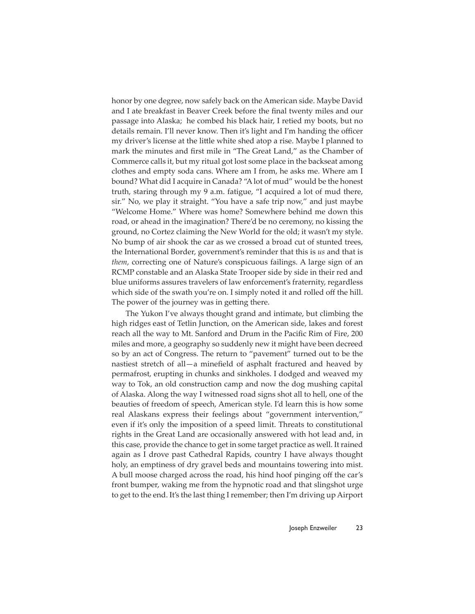honor by one degree, now safely back on the American side. Maybe David and I ate breakfast in Beaver Creek before the final twenty miles and our passage into Alaska; he combed his black hair, I retied my boots, but no details remain. I'll never know. Then it's light and I'm handing the officer my driver's license at the little white shed atop a rise. Maybe I planned to mark the minutes and first mile in "The Great Land," as the Chamber of Commerce calls it, but my ritual got lost some place in the backseat among clothes and empty soda cans. Where am I from, he asks me. Where am I bound? What did I acquire in Canada? "A lot of mud" would be the honest truth, staring through my 9 a.m. fatigue, "I acquired a lot of mud there, sir." No, we play it straight. "You have a safe trip now," and just maybe "Welcome Home." Where was home? Somewhere behind me down this road, or ahead in the imagination? There'd be no ceremony, no kissing the ground, no Cortez claiming the New World for the old; it wasn't my style. No bump of air shook the car as we crossed a broad cut of stunted trees, the International Border, government's reminder that this is *us* and that is *them*, correcting one of Nature's conspicuous failings. A large sign of an RCMP constable and an Alaska State Trooper side by side in their red and blue uniforms assures travelers of law enforcement's fraternity, regardless which side of the swath you're on. I simply noted it and rolled off the hill. The power of the journey was in getting there.

The Yukon I've always thought grand and intimate, but climbing the high ridges east of Tetlin Junction, on the American side, lakes and forest reach all the way to Mt. Sanford and Drum in the Pacific Rim of Fire, 200 miles and more, a geography so suddenly new it might have been decreed so by an act of Congress. The return to "pavement" turned out to be the nastiest stretch of all $-a$  minefield of asphalt fractured and heaved by permafrost, erupting in chunks and sinkholes. I dodged and weaved my way to Tok, an old construction camp and now the dog mushing capital of Alaska. Along the way I witnessed road signs shot all to hell, one of the beauties of freedom of speech, American style. I'd learn this is how some real Alaskans express their feelings about "government intervention," even if it's only the imposition of a speed limit. Threats to constitutional rights in the Great Land are occasionally answered with hot lead and, in this case, provide the chance to get in some target practice as well. It rained again as I drove past Cathedral Rapids, country I have always thought holy, an emptiness of dry gravel beds and mountains towering into mist. A bull moose charged across the road, his hind hoof pinging off the car's front bumper, waking me from the hypnotic road and that slingshot urge to get to the end. It's the last thing I remember; then I'm driving up Airport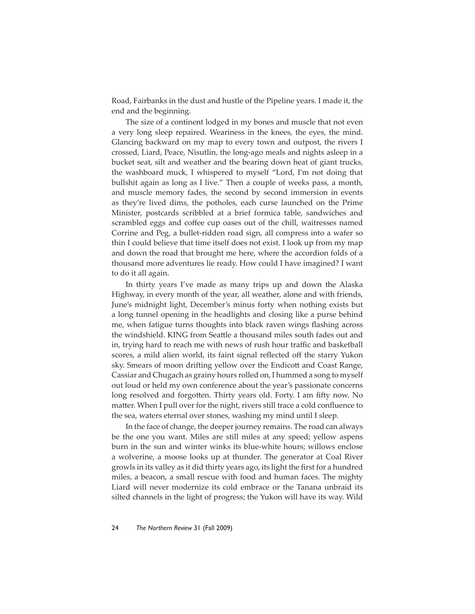Road, Fairbanks in the dust and hustle of the Pipeline years. I made it, the end and the beginning.

The size of a continent lodged in my bones and muscle that not even a very long sleep repaired. Weariness in the knees, the eyes, the mind. Glancing backward on my map to every town and outpost, the rivers I crossed, Liard, Peace, Nisutlin, the long-ago meals and nights asleep in a bucket seat, silt and weather and the bearing down heat of giant trucks, the washboard muck, I whispered to myself "Lord, I'm not doing that bullshit again as long as I live." Then a couple of weeks pass, a month, and muscle memory fades, the second by second immersion in events as they're lived dims, the potholes, each curse launched on the Prime Minister, postcards scribbled at a brief formica table, sandwiches and scrambled eggs and coffee cup oases out of the chill, waitresses named Corrine and Peg, a bullet-ridden road sign, all compress into a wafer so thin I could believe that time itself does not exist. I look up from my map and down the road that brought me here, where the accordion folds of a thousand more adventures lie ready. How could I have imagined? I want to do it all again.

In thirty years I've made as many trips up and down the Alaska Highway, in every month of the year, all weather, alone and with friends, June's midnight light, December's minus forty when nothing exists but a long tunnel opening in the headlights and closing like a purse behind me, when fatigue turns thoughts into black raven wings flashing across the windshield. KING from Seattle a thousand miles south fades out and in, trying hard to reach me with news of rush hour traffic and basketball scores, a mild alien world, its faint signal reflected off the starry Yukon sky. Smears of moon drifting yellow over the Endicott and Coast Range, Cassiar and Chugach as grainy hours rolled on, I hummed a song to myself out loud or held my own conference about the year's passionate concerns long resolved and forgotten. Thirty years old. Forty. I am fifty now. No matter. When I pull over for the night, rivers still trace a cold confluence to the sea, waters eternal over stones, washing my mind until I sleep.

In the face of change, the deeper journey remains. The road can always be the one you want. Miles are still miles at any speed; yellow aspens burn in the sun and winter winks its blue-white hours; willows enclose a wolverine, a moose looks up at thunder. The generator at Coal River growls in its valley as it did thirty years ago, its light the first for a hundred miles, a beacon, a small rescue with food and human faces. The mighty Liard will never modernize its cold embrace or the Tanana unbraid its silted channels in the light of progress; the Yukon will have its way. Wild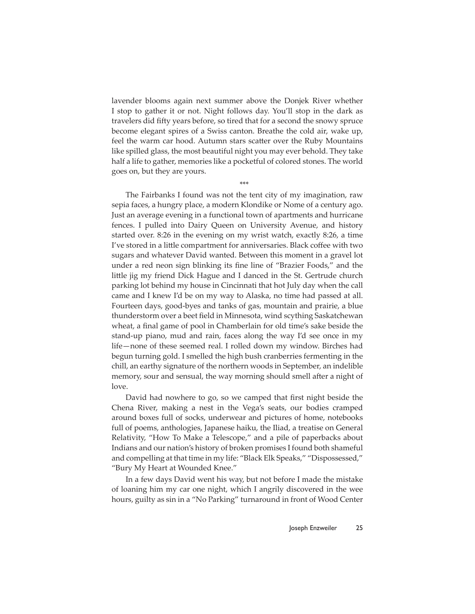lavender blooms again next summer above the Donjek River whether I stop to gather it or not. Night follows day. You'll stop in the dark as travelers did fifty years before, so tired that for a second the snowy spruce become elegant spires of a Swiss canton. Breathe the cold air, wake up, feel the warm car hood. Autumn stars scatter over the Ruby Mountains like spilled glass, the most beautiful night you may ever behold. They take half a life to gather, memories like a pocketful of colored stones. The world goes on, but they are yours.

\*\*\*

The Fairbanks I found was not the tent city of my imagination, raw sepia faces, a hungry place, a modern Klondike or Nome of a century ago. Just an average evening in a functional town of apartments and hurricane fences. I pulled into Dairy Queen on University Avenue, and history started over. 8:26 in the evening on my wrist watch, exactly 8:26, a time I've stored in a little compartment for anniversaries. Black coffee with two sugars and whatever David wanted. Between this moment in a gravel lot under a red neon sign blinking its fine line of "Brazier Foods," and the little jig my friend Dick Hague and I danced in the St. Gertrude church parking lot behind my house in Cincinnati that hot July day when the call came and I knew I'd be on my way to Alaska, no time had passed at all. Fourteen days, good-byes and tanks of gas, mountain and prairie, a blue thunderstorm over a beet field in Minnesota, wind scything Saskatchewan wheat, a final game of pool in Chamberlain for old time's sake beside the stand-up piano, mud and rain, faces along the way I'd see once in my life—none of these seemed real. I rolled down my window. Birches had begun turning gold. I smelled the high bush cranberries fermenting in the chill, an earthy signature of the northern woods in September, an indelible memory, sour and sensual, the way morning should smell after a night of love.

David had nowhere to go, so we camped that first night beside the Chena River, making a nest in the Vega's seats, our bodies cramped around boxes full of socks, underwear and pictures of home, notebooks full of poems, anthologies, Japanese haiku, the Iliad, a treatise on General Relativity, "How To Make a Telescope," and a pile of paperbacks about Indians and our nation's history of broken promises I found both shameful and compelling at that time in my life: "Black Elk Speaks," "Dispossessed," "Bury My Heart at Wounded Knee."

In a few days David went his way, but not before I made the mistake of loaning him my car one night, which I angrily discovered in the wee hours, guilty as sin in a "No Parking" turnaround in front of Wood Center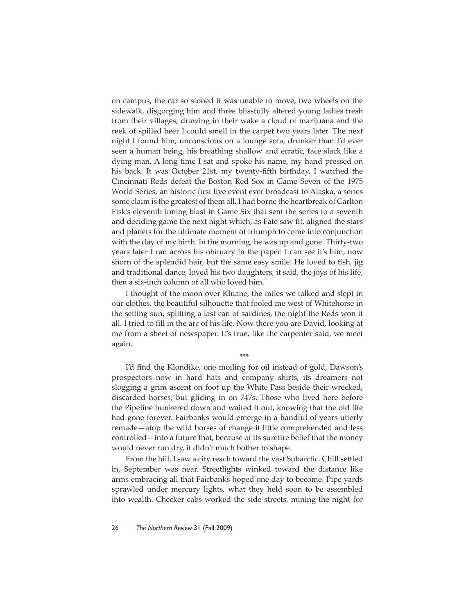on campus, the car so stoned it was unable to move, two wheels on the sidewalk, disgorging him and three blissfully altered young ladies fresh from their villages, drawing in their wake a cloud of marijuana and the reek of spilled beer I could smell in the carpet two years later. The next night I found him, unconscious on a lounge sofa, drunker than I'd ever seen a human being, his breathing shallow and erratic, face slack like a dying man. A long time I sat and spoke his name, my hand pressed on his back. It was October 21st, my twenty-fifth birthday. I watched the Cincinnati Reds defeat the Boston Red Sox in Game Seven of the 1975 World Series, an historic first live event ever broadcast to Alaska, a series some claim is the greatest of them all. I had borne the heartbreak of Carlton Fisk's eleventh inning blast in Game Six that sent the series to a seventh and deciding game the next night which, as Fate saw fit, aligned the stars and planets for the ultimate moment of triumph to come into conjunction with the day of my birth. In the morning, he was up and gone. Thirty-two years later I ran across his obituary in the paper. I can see it's him, now shorn of the splendid hair, but the same easy smile. He loved to fish, jig and traditional dance, loved his two daughters, it said, the joys of his life, then a six-inch column of all who loved him.

I thought of the moon over Kluane, the miles we talked and slept in our clothes, the beautiful silhouette that fooled me west of Whitehorse in the setting sun, splitting a last can of sardines, the night the Reds won it all. I tried to fill in the arc of his life. Now there you are David, looking at me from a sheet of newspaper. It's true, like the carpenter said, we meet again.

\*\*\*

I'd find the Klondike, one moiling for oil instead of gold, Dawson's prospectors now in hard hats and company shirts, its dreamers not slogging a grim ascent on foot up the White Pass beside their wrecked, discarded horses, but gliding in on 747s. Those who lived here before the Pipeline hunkered down and waited it out, knowing that the old life had gone forever. Fairbanks would emerge in a handful of years utterly remade—atop the wild horses of change it little comprehended and less controlled—into a future that, because of its surefire belief that the money would never run dry, it didn't much bother to shape.

From the hill, I saw a city reach toward the vast Subarctic. Chill settled in, September was near. Streetlights winked toward the distance like arms embracing all that Fairbanks hoped one day to become. Pipe yards sprawled under mercury lights, what they held soon to be assembled into wealth. Checker cabs worked the side streets, mining the night for